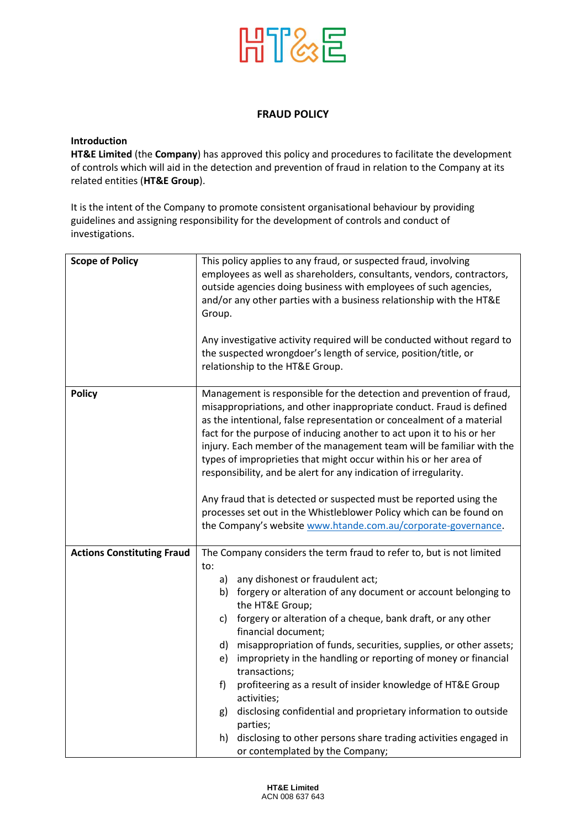

## **FRAUD POLICY**

## **Introduction**

**HT&E Limited** (the **Company**) has approved this policy and procedures to facilitate the development of controls which will aid in the detection and prevention of fraud in relation to the Company at its related entities (**HT&E Group**).

It is the intent of the Company to promote consistent organisational behaviour by providing guidelines and assigning responsibility for the development of controls and conduct of investigations.

| <b>Scope of Policy</b>            | This policy applies to any fraud, or suspected fraud, involving<br>employees as well as shareholders, consultants, vendors, contractors,<br>outside agencies doing business with employees of such agencies,<br>and/or any other parties with a business relationship with the HT&E<br>Group.<br>Any investigative activity required will be conducted without regard to<br>the suspected wrongdoer's length of service, position/title, or<br>relationship to the HT&E Group.                                                                                                                                                                                                                                                   |
|-----------------------------------|----------------------------------------------------------------------------------------------------------------------------------------------------------------------------------------------------------------------------------------------------------------------------------------------------------------------------------------------------------------------------------------------------------------------------------------------------------------------------------------------------------------------------------------------------------------------------------------------------------------------------------------------------------------------------------------------------------------------------------|
| <b>Policy</b>                     | Management is responsible for the detection and prevention of fraud,<br>misappropriations, and other inappropriate conduct. Fraud is defined<br>as the intentional, false representation or concealment of a material<br>fact for the purpose of inducing another to act upon it to his or her<br>injury. Each member of the management team will be familiar with the<br>types of improprieties that might occur within his or her area of<br>responsibility, and be alert for any indication of irregularity.<br>Any fraud that is detected or suspected must be reported using the<br>processes set out in the Whistleblower Policy which can be found on<br>the Company's website www.htande.com.au/corporate-governance.    |
| <b>Actions Constituting Fraud</b> | The Company considers the term fraud to refer to, but is not limited<br>to:<br>any dishonest or fraudulent act;<br>a)<br>forgery or alteration of any document or account belonging to<br>b)<br>the HT&E Group;<br>forgery or alteration of a cheque, bank draft, or any other<br>C)<br>financial document;<br>misappropriation of funds, securities, supplies, or other assets;<br>d)<br>impropriety in the handling or reporting of money or financial<br>e)<br>transactions;<br>f)<br>profiteering as a result of insider knowledge of HT&E Group<br>activities;<br>disclosing confidential and proprietary information to outside<br>g)<br>parties;<br>disclosing to other persons share trading activities engaged in<br>h) |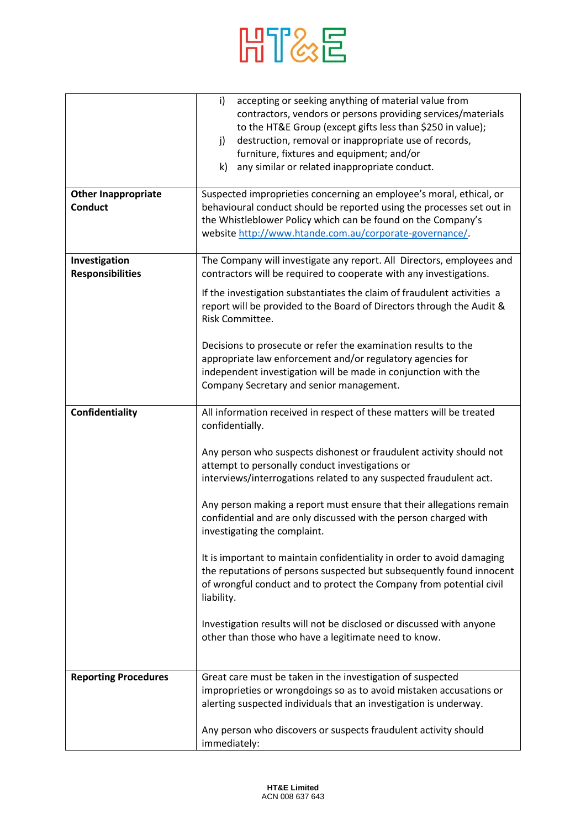

|                                              | i)<br>accepting or seeking anything of material value from<br>contractors, vendors or persons providing services/materials<br>to the HT&E Group (except gifts less than \$250 in value);<br>destruction, removal or inappropriate use of records,<br>j)<br>furniture, fixtures and equipment; and/or<br>any similar or related inappropriate conduct.<br>k) |
|----------------------------------------------|-------------------------------------------------------------------------------------------------------------------------------------------------------------------------------------------------------------------------------------------------------------------------------------------------------------------------------------------------------------|
| <b>Other Inappropriate</b><br><b>Conduct</b> | Suspected improprieties concerning an employee's moral, ethical, or<br>behavioural conduct should be reported using the processes set out in<br>the Whistleblower Policy which can be found on the Company's<br>website http://www.htande.com.au/corporate-governance/                                                                                      |
| Investigation<br><b>Responsibilities</b>     | The Company will investigate any report. All Directors, employees and<br>contractors will be required to cooperate with any investigations.                                                                                                                                                                                                                 |
|                                              | If the investigation substantiates the claim of fraudulent activities a<br>report will be provided to the Board of Directors through the Audit &<br>Risk Committee.                                                                                                                                                                                         |
|                                              | Decisions to prosecute or refer the examination results to the<br>appropriate law enforcement and/or regulatory agencies for<br>independent investigation will be made in conjunction with the<br>Company Secretary and senior management.                                                                                                                  |
| Confidentiality                              | All information received in respect of these matters will be treated<br>confidentially.                                                                                                                                                                                                                                                                     |
|                                              | Any person who suspects dishonest or fraudulent activity should not<br>attempt to personally conduct investigations or<br>interviews/interrogations related to any suspected fraudulent act.                                                                                                                                                                |
|                                              | Any person making a report must ensure that their allegations remain<br>confidential and are only discussed with the person charged with<br>investigating the complaint.                                                                                                                                                                                    |
|                                              | It is important to maintain confidentiality in order to avoid damaging<br>the reputations of persons suspected but subsequently found innocent<br>of wrongful conduct and to protect the Company from potential civil<br>liability.                                                                                                                         |
|                                              | Investigation results will not be disclosed or discussed with anyone<br>other than those who have a legitimate need to know.                                                                                                                                                                                                                                |
| <b>Reporting Procedures</b>                  | Great care must be taken in the investigation of suspected<br>improprieties or wrongdoings so as to avoid mistaken accusations or<br>alerting suspected individuals that an investigation is underway.                                                                                                                                                      |
|                                              | Any person who discovers or suspects fraudulent activity should<br>immediately:                                                                                                                                                                                                                                                                             |